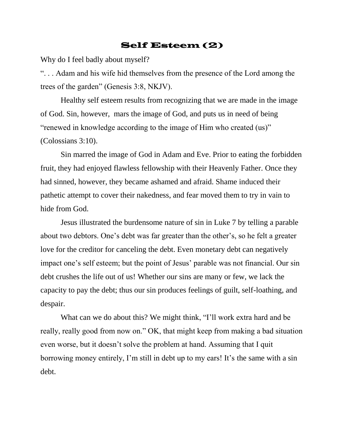## Self Esteem (2)

Why do I feel badly about myself?

". . . Adam and his wife hid themselves from the presence of the Lord among the trees of the garden" (Genesis 3:8, NKJV).

Healthy self esteem results from recognizing that we are made in the image of God. Sin, however, mars the image of God, and puts us in need of being "renewed in knowledge according to the image of Him who created (us)" (Colossians 3:10).

Sin marred the image of God in Adam and Eve. Prior to eating the forbidden fruit, they had enjoyed flawless fellowship with their Heavenly Father. Once they had sinned, however, they became ashamed and afraid. Shame induced their pathetic attempt to cover their nakedness, and fear moved them to try in vain to hide from God.

Jesus illustrated the burdensome nature of sin in Luke 7 by telling a parable about two debtors. One's debt was far greater than the other's, so he felt a greater love for the creditor for canceling the debt. Even monetary debt can negatively impact one's self esteem; but the point of Jesus' parable was not financial. Our sin debt crushes the life out of us! Whether our sins are many or few, we lack the capacity to pay the debt; thus our sin produces feelings of guilt, self-loathing, and despair.

What can we do about this? We might think, "I'll work extra hard and be really, really good from now on." OK, that might keep from making a bad situation even worse, but it doesn't solve the problem at hand. Assuming that I quit borrowing money entirely, I'm still in debt up to my ears! It's the same with a sin debt.